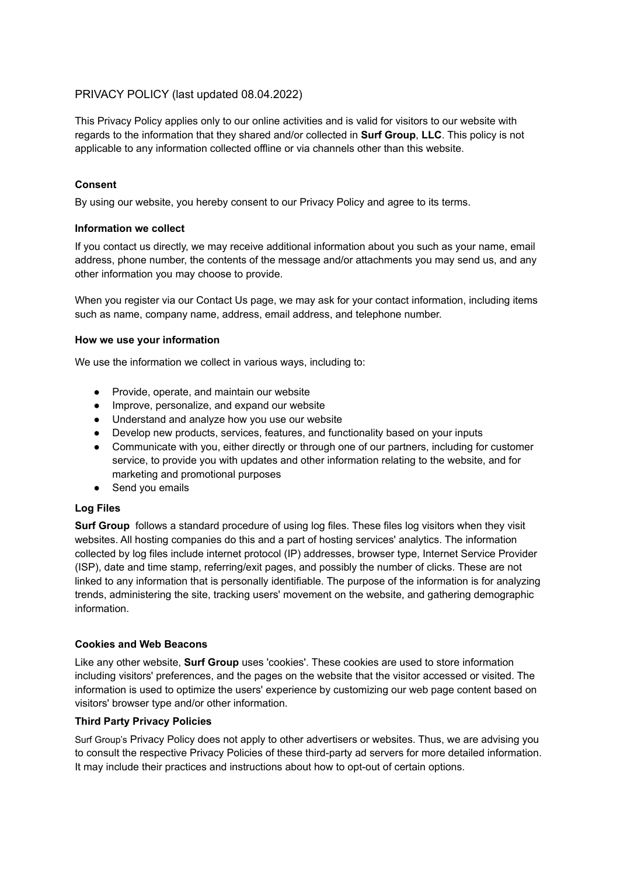# PRIVACY POLICY (last updated 08.04.2022)

This Privacy Policy applies only to our online activities and is valid for visitors to our website with regards to the information that they shared and/or collected in **Surf Group**, **LLC**. This policy is not applicable to any information collected offline or via channels other than this website.

## **Consent**

By using our website, you hereby consent to our Privacy Policy and agree to its terms.

### **Information we collect**

If you contact us directly, we may receive additional information about you such as your name, email address, phone number, the contents of the message and/or attachments you may send us, and any other information you may choose to provide.

When you register via our Contact Us page, we may ask for your contact information, including items such as name, company name, address, email address, and telephone number.

### **How we use your information**

We use the information we collect in various ways, including to:

- Provide, operate, and maintain our website
- Improve, personalize, and expand our website
- Understand and analyze how you use our website
- Develop new products, services, features, and functionality based on your inputs
- Communicate with you, either directly or through one of our partners, including for customer service, to provide you with updates and other information relating to the website, and for marketing and promotional purposes
- Send you emails

### **Log Files**

**Surf Group** follows a standard procedure of using log files. These files log visitors when they visit websites. All hosting companies do this and a part of hosting services' analytics. The information collected by log files include internet protocol (IP) addresses, browser type, Internet Service Provider (ISP), date and time stamp, referring/exit pages, and possibly the number of clicks. These are not linked to any information that is personally identifiable. The purpose of the information is for analyzing trends, administering the site, tracking users' movement on the website, and gathering demographic information.

### **Cookies and Web Beacons**

Like any other website, **Surf Group** uses 'cookies'. These cookies are used to store information including visitors' preferences, and the pages on the website that the visitor accessed or visited. The information is used to optimize the users' experience by customizing our web page content based on visitors' browser type and/or other information.

### **Third Party Privacy Policies**

Surf Group's Privacy Policy does not apply to other advertisers or websites. Thus, we are advising you to consult the respective Privacy Policies of these third-party ad servers for more detailed information. It may include their practices and instructions about how to opt-out of certain options.